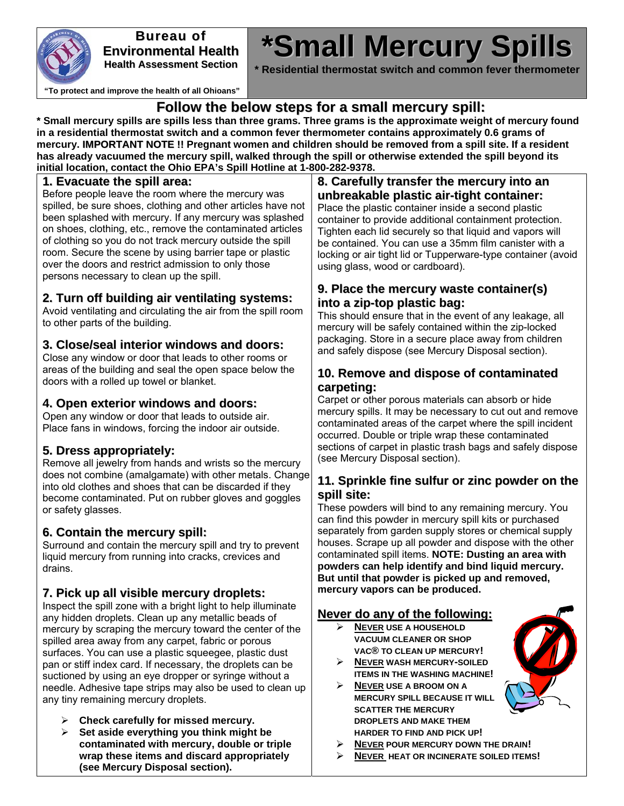

**Bureau of Environmental Health Health Assessment Section**

# **\*Small Mercury Spills**

**\* Residential thermostat switch and common fever thermometer**

**"To protect and improve the health of all Ohioans"**

#### **Follow the below steps for a small mercury spill:**

**\* Small mercury spills are spills less than three grams. Three grams is the approximate weight of mercury found in a residential thermostat switch and a common fever thermometer contains approximately 0.6 grams of mercury. IMPORTANT NOTE !! Pregnant women and children should be removed from a spill site. If a resident has already vacuumed the mercury spill, walked through the spill or otherwise extended the spill beyond its initial location, contact the Ohio EPA's Spill Hotline at 1-800-282-9378.** 

#### **1. Evacuate the spill area:**

Before people leave the room where the mercury was spilled, be sure shoes, clothing and other articles have not been splashed with mercury. If any mercury was splashed on shoes, clothing, etc., remove the contaminated articles of clothing so you do not track mercury outside the spill room. Secure the scene by using barrier tape or plastic over the doors and restrict admission to only those persons necessary to clean up the spill.

#### **2. Turn off building air ventilating systems:**

Avoid ventilating and circulating the air from the spill room to other parts of the building.

#### **3. Close/seal interior windows and doors:**

Close any window or door that leads to other rooms or areas of the building and seal the open space below the doors with a rolled up towel or blanket.

#### **4. Open exterior windows and doors:**

Open any window or door that leads to outside air. Place fans in windows, forcing the indoor air outside.

#### **5. Dress appropriately:**

Remove all jewelry from hands and wrists so the mercury does not combine (amalgamate) with other metals. Change into old clothes and shoes that can be discarded if they become contaminated. Put on rubber gloves and goggles or safety glasses.

#### **6. Contain the mercury spill:**

Surround and contain the mercury spill and try to prevent liquid mercury from running into cracks, crevices and drains.

#### **7. Pick up all visible mercury droplets:**

Inspect the spill zone with a bright light to help illuminate any hidden droplets. Clean up any metallic beads of mercury by scraping the mercury toward the center of the spilled area away from any carpet, fabric or porous surfaces. You can use a plastic squeegee, plastic dust pan or stiff index card. If necessary, the droplets can be suctioned by using an eye dropper or syringe without a needle. Adhesive tape strips may also be used to clean up any tiny remaining mercury droplets.

- ¾ **Check carefully for missed mercury.**
- ¾ **Set aside everything you think might be contaminated with mercury, double or triple wrap these items and discard appropriately (see Mercury Disposal section).**

#### **8. Carefully transfer the mercury into an unbreakable plastic air-tight container:**

Place the plastic container inside a second plastic container to provide additional containment protection. Tighten each lid securely so that liquid and vapors will be contained. You can use a 35mm film canister with a locking or air tight lid or Tupperware-type container (avoid using glass, wood or cardboard).

#### **9. Place the mercury waste container(s) into a zip-top plastic bag:**

This should ensure that in the event of any leakage, all mercury will be safely contained within the zip-locked packaging. Store in a secure place away from children and safely dispose (see Mercury Disposal section).

#### **10. Remove and dispose of contaminated carpeting:**

Carpet or other porous materials can absorb or hide mercury spills. It may be necessary to cut out and remove contaminated areas of the carpet where the spill incident occurred. Double or triple wrap these contaminated sections of carpet in plastic trash bags and safely dispose (see Mercury Disposal section).

#### **11. Sprinkle fine sulfur or zinc powder on the spill site:**

These powders will bind to any remaining mercury. You can find this powder in mercury spill kits or purchased separately from garden supply stores or chemical supply houses. Scrape up all powder and dispose with the other contaminated spill items. **NOTE: Dusting an area with powders can help identify and bind liquid mercury. But until that powder is picked up and removed, mercury vapors can be produced.**

#### **Never do any of the following:**

- ¾ **NEVER USE A HOUSEHOLD VACUUM CLEANER OR SHOP VAC® TO CLEAN UP MERCURY!**
- ¾ **NEVER WASH MERCURY-SOILED ITEMS IN THE WASHING MACHINE!**
- ¾ **NEVER USE A BROOM ON A MERCURY SPILL BECAUSE IT WILL SCATTER THE MERCURY DROPLETS AND MAKE THEM HARDER TO FIND AND PICK UP!**



- **NEVER POUR MERCURY DOWN THE DRAIN!**
- ¾ **NEVER HEAT OR INCINERATE SOILED ITEMS!**